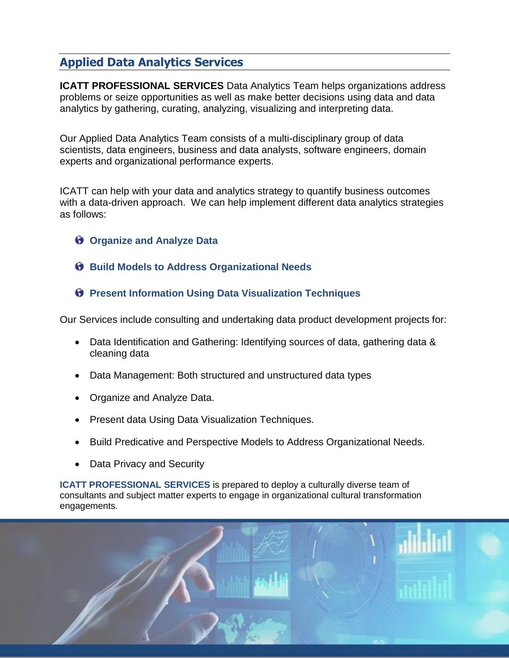# **Applied Data Analytics Services**

**ICATT PROFESSIONAL SERVICES** Data Analytics Team helps organizations address problems or seize opportunities as well as make better decisions using data and data analytics by gathering, curating, analyzing, visualizing and interpreting data.

Our Applied Data Analytics Team consists of a multi-disciplinary group of data scientists, data engineers, business and data analysts, software engineers, domain experts and organizational performance experts.

ICATT can help with your data and analytics strategy to quantify business outcomes with a data-driven approach. We can help implement different data analytics strategies as follows:

- **Organize and Analyze Data**
- **Build Models to Address Organizational Needs**
- $\Theta$  Present Information Using Data Visualization Techniques

Our Services include consulting and undertaking data product development projects for:

- Data Identification and Gathering: Identifying sources of data, gathering data & cleaning data
- Data Management: Both structured and unstructured data types
- Organize and Analyze Data.
- Present data Using Data Visualization Techniques.
- Build Predicative and Perspective Models to Address Organizational Needs.
- Data Privacy and Security

**ICATT PROFESSIONAL SERVICES** is prepared to deploy a culturally diverse team of consultants and subject matter experts to engage in organizational cultural transformation engagements.